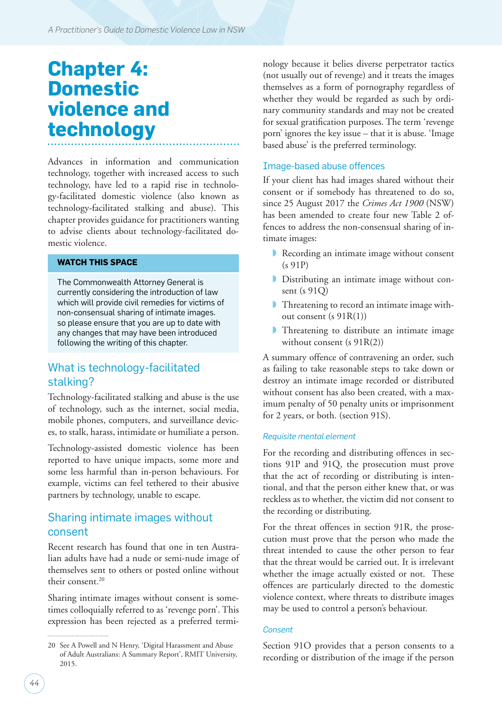# **Chapter 4: Domestic violence and technology**

Advances in information and communication technology, together with increased access to such technology, have led to a rapid rise in technology-facilitated domestic violence (also known as technology-facilitated stalking and abuse). This chapter provides guidance for practitioners wanting to advise clients about technology-facilitated domestic violence.

#### **WATCH THIS SPACE**

The Commonwealth Attorney General is currently considering the introduction of law which will provide civil remedies for victims of non-consensual sharing of intimate images. so please ensure that you are up to date with any changes that may have been introduced following the writing of this chapter.

# What is technology-facilitated stalking?

Technology-facilitated stalking and abuse is the use of technology, such as the internet, social media, mobile phones, computers, and surveillance devices, to stalk, harass, intimidate or humiliate a person.

Technology-assisted domestic violence has been reported to have unique impacts, some more and some less harmful than in-person behaviours. For example, victims can feel tethered to their abusive partners by technology, unable to escape.

# Sharing intimate images without consent

Recent research has found that one in ten Australian adults have had a nude or semi-nude image of themselves sent to others or posted online without their consent.<sup>20</sup>

Sharing intimate images without consent is sometimes colloquially referred to as 'revenge porn'. This expression has been rejected as a preferred terminology because it belies diverse perpetrator tactics (not usually out of revenge) and it treats the images themselves as a form of pornography regardless of whether they would be regarded as such by ordinary community standards and may not be created for sexual gratification purposes. The term 'revenge porn' ignores the key issue – that it is abuse. 'Image based abuse' is the preferred terminology.

#### Image-based abuse offences

If your client has had images shared without their consent or if somebody has threatened to do so, since 25 August 2017 the *Crimes Act 1900* (NSW) has been amended to create four new Table 2 offences to address the non-consensual sharing of intimate images:

- ◗ Recording an intimate image without consent (s 91P)
- ◗ Distributing an intimate image without consent (s 91Q)
- ◗ Threatening to record an intimate image without consent (s 91R(1))
- **Threatening to distribute an intimate image** without consent (s  $91R(2)$ )

A summary offence of contravening an order, such as failing to take reasonable steps to take down or destroy an intimate image recorded or distributed without consent has also been created, with a maximum penalty of 50 penalty units or imprisonment for 2 years, or both. (section 91S).

#### *Requisite mental element*

For the recording and distributing offences in sections 91P and 91Q, the prosecution must prove that the act of recording or distributing is intentional, and that the person either knew that, or was reckless as to whether, the victim did not consent to the recording or distributing.

For the threat offences in section 91R, the prosecution must prove that the person who made the threat intended to cause the other person to fear that the threat would be carried out. It is irrelevant whether the image actually existed or not. These offences are particularly directed to the domestic violence context, where threats to distribute images may be used to control a person's behaviour.

#### *Consent*

Section 91O provides that a person consents to a recording or distribution of the image if the person

<sup>20</sup> See A Powell and N Henry, 'Digital Harassment and Abuse of Adult Australians: A Summary Report', RMIT University, 2015.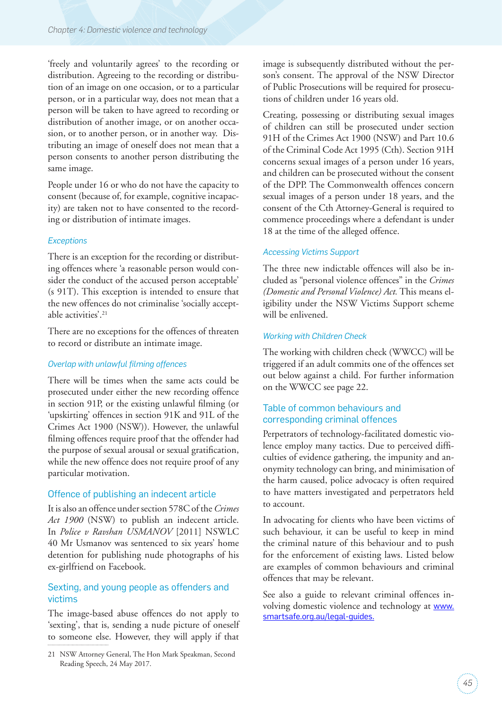'freely and voluntarily agrees' to the recording or distribution. Agreeing to the recording or distribution of an image on one occasion, or to a particular person, or in a particular way, does not mean that a person will be taken to have agreed to recording or distribution of another image, or on another occasion, or to another person, or in another way. Distributing an image of oneself does not mean that a person consents to another person distributing the same image.

People under 16 or who do not have the capacity to consent (because of, for example, cognitive incapacity) are taken not to have consented to the recording or distribution of intimate images.

#### *Exceptions*

There is an exception for the recording or distributing offences where 'a reasonable person would consider the conduct of the accused person acceptable' (s 91T). This exception is intended to ensure that the new offences do not criminalise 'socially acceptable activities'.21

There are no exceptions for the offences of threaten to record or distribute an intimate image.

#### *Overlap with unlawful filming offences*

There will be times when the same acts could be prosecuted under either the new recording offence in section 91P, or the existing unlawful filming (or 'upskirting' offences in section 91K and 91L of the Crimes Act 1900 (NSW)). However, the unlawful filming offences require proof that the offender had the purpose of sexual arousal or sexual gratification, while the new offence does not require proof of any particular motivation.

#### Offence of publishing an indecent article

It is also an offence under section 578C of the *Crimes Act 1900* (NSW) to publish an indecent article. In *Police v Ravshan USMANOV* [2011] NSWLC 40 Mr Usmanov was sentenced to six years' home detention for publishing nude photographs of his ex-girlfriend on Facebook.

#### Sexting, and young people as offenders and victims

The image-based abuse offences do not apply to 'sexting', that is, sending a nude picture of oneself to someone else. However, they will apply if that image is subsequently distributed without the person's consent. The approval of the NSW Director of Public Prosecutions will be required for prosecutions of children under 16 years old.

Creating, possessing or distributing sexual images of children can still be prosecuted under section 91H of the Crimes Act 1900 (NSW) and Part 10.6 of the Criminal Code Act 1995 (Cth). Section 91H concerns sexual images of a person under 16 years, and children can be prosecuted without the consent of the DPP. The Commonwealth offences concern sexual images of a person under 18 years, and the consent of the Cth Attorney-General is required to commence proceedings where a defendant is under 18 at the time of the alleged offence.

#### *Accessing Victims Support*

The three new indictable offences will also be included as "personal violence offences" in the *Crimes (Domestic and Personal Violence) Act.* This means eligibility under the NSW Victims Support scheme will be enlivened.

#### *Working with Children Check*

The working with children check (WWCC) will be triggered if an adult commits one of the offences set out below against a child. For further information on the WWCC see page 22.

## Table of common behaviours and corresponding criminal offences

Perpetrators of technology-facilitated domestic violence employ many tactics. Due to perceived difficulties of evidence gathering, the impunity and anonymity technology can bring, and minimisation of the harm caused, police advocacy is often required to have matters investigated and perpetrators held to account.

In advocating for clients who have been victims of such behaviour, it can be useful to keep in mind the criminal nature of this behaviour and to push for the enforcement of existing laws. Listed below are examples of common behaviours and criminal offences that may be relevant.

See also a guide to relevant criminal offences involving domestic violence and technology at [www.](http://www.smartsafe.org.au/legal-guides) [smartsafe.org.au/legal-guides.](http://www.smartsafe.org.au/legal-guides)

<sup>21</sup> NSW Attorney General, The Hon Mark Speakman, Second Reading Speech, 24 May 2017.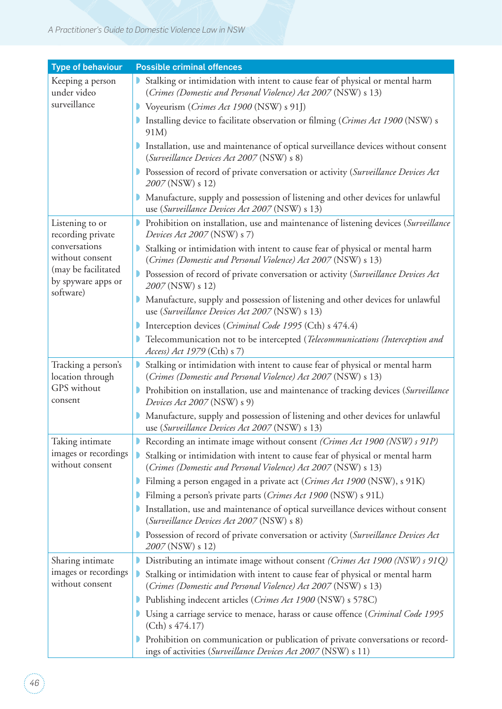| <b>Type of behaviour</b>                                                                                                           | <b>Possible criminal offences</b>                                                                                                                |
|------------------------------------------------------------------------------------------------------------------------------------|--------------------------------------------------------------------------------------------------------------------------------------------------|
| Keeping a person                                                                                                                   | Stalking or intimidation with intent to cause fear of physical or mental harm                                                                    |
| under video                                                                                                                        | (Crimes (Domestic and Personal Violence) Act 2007 (NSW) s 13)                                                                                    |
| surveillance                                                                                                                       | Voyeurism (Crimes Act 1900 (NSW) s 91J)                                                                                                          |
|                                                                                                                                    | Installing device to facilitate observation or filming (Crimes Act 1900 (NSW) s<br>91M)                                                          |
|                                                                                                                                    | Installation, use and maintenance of optical surveillance devices without consent<br>(Surveillance Devices Act 2007 (NSW) s 8)                   |
|                                                                                                                                    | Possession of record of private conversation or activity (Surveillance Devices Act<br>2007 (NSW) s 12)                                           |
|                                                                                                                                    | Manufacture, supply and possession of listening and other devices for unlawful<br>use (Surveillance Devices Act 2007 (NSW) s 13)                 |
| Listening to or<br>recording private<br>conversations<br>without consent<br>(may be facilitated<br>by spyware apps or<br>software) | Prohibition on installation, use and maintenance of listening devices (Surveillance<br>Devices Act 2007 (NSW) s 7)                               |
|                                                                                                                                    | Stalking or intimidation with intent to cause fear of physical or mental harm<br>(Crimes (Domestic and Personal Violence) Act 2007 (NSW) s 13)   |
|                                                                                                                                    | Possession of record of private conversation or activity (Surveillance Devices Act<br>2007 (NSW) s 12)                                           |
|                                                                                                                                    | Manufacture, supply and possession of listening and other devices for unlawful<br>use (Surveillance Devices Act 2007 (NSW) s 13)                 |
|                                                                                                                                    | Interception devices (Criminal Code 1995 (Cth) s 474.4)                                                                                          |
|                                                                                                                                    | Telecommunication not to be intercepted (Telecommunications (Interception and<br>Access) Act 1979 (Cth) s 7)                                     |
| Tracking a person's<br>location through<br>GPS without<br>consent                                                                  | Stalking or intimidation with intent to cause fear of physical or mental harm<br>(Crimes (Domestic and Personal Violence) Act 2007 (NSW) s 13)   |
|                                                                                                                                    | Prohibition on installation, use and maintenance of tracking devices (Surveillance<br>Devices Act 2007 (NSW) s 9)                                |
|                                                                                                                                    | Manufacture, supply and possession of listening and other devices for unlawful<br>use (Surveillance Devices Act 2007 (NSW) s 13)                 |
| Taking intimate<br>images or recordings<br>without consent                                                                         | Recording an intimate image without consent (Crimes Act 1900 (NSW) s 91P)                                                                        |
|                                                                                                                                    | Stalking or intimidation with intent to cause fear of physical or mental harm<br>(Crimes (Domestic and Personal Violence) Act 2007 (NSW) s 13)   |
|                                                                                                                                    | Filming a person engaged in a private act (Crimes Act 1900 (NSW), s 91K)                                                                         |
|                                                                                                                                    | Filming a person's private parts (Crimes Act 1900 (NSW) s 91L)                                                                                   |
|                                                                                                                                    | Installation, use and maintenance of optical surveillance devices without consent<br>(Surveillance Devices Act 2007 (NSW) s 8)                   |
|                                                                                                                                    | Possession of record of private conversation or activity (Surveillance Devices Act<br>2007 (NSW) s 12)                                           |
| Sharing intimate<br>images or recordings<br>without consent                                                                        | Distributing an intimate image without consent (Crimes Act 1900 (NSW) s 91Q)                                                                     |
|                                                                                                                                    | Stalking or intimidation with intent to cause fear of physical or mental harm<br>(Crimes (Domestic and Personal Violence) Act 2007 (NSW) s 13)   |
|                                                                                                                                    | Publishing indecent articles (Crimes Act 1900 (NSW) s 578C)                                                                                      |
|                                                                                                                                    | Using a carriage service to menace, harass or cause offence (Criminal Code 1995<br>$(Cth)$ s 474.17)                                             |
|                                                                                                                                    | Prohibition on communication or publication of private conversations or record-<br>ings of activities (Surveillance Devices Act 2007 (NSW) s 11) |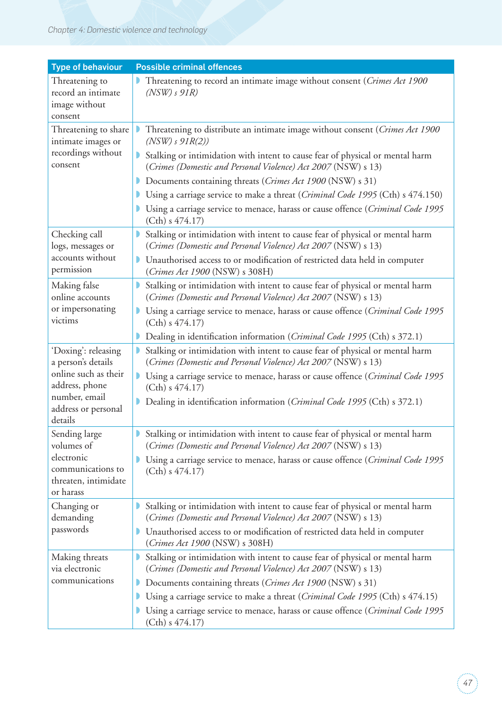## *Chapter 4: Domestic violence and technology*

| <b>Type of behaviour</b>                                                                                                               | <b>Possible criminal offences</b>                                                                                                              |
|----------------------------------------------------------------------------------------------------------------------------------------|------------------------------------------------------------------------------------------------------------------------------------------------|
| Threatening to<br>record an intimate<br>image without<br>consent                                                                       | Threatening to record an intimate image without consent (Crimes Act 1900<br>$(NSW)$ s $91R)$                                                   |
| Threatening to share<br>intimate images or<br>recordings without<br>consent                                                            | Threatening to distribute an intimate image without consent (Crimes Act 1900<br>$(NSW)$ s $91R(2)$ )                                           |
|                                                                                                                                        | Stalking or intimidation with intent to cause fear of physical or mental harm<br>(Crimes (Domestic and Personal Violence) Act 2007 (NSW) s 13) |
|                                                                                                                                        | Documents containing threats (Crimes Act 1900 (NSW) s 31)                                                                                      |
|                                                                                                                                        | Using a carriage service to make a threat (Criminal Code 1995 (Cth) s 474.150)                                                                 |
|                                                                                                                                        | Using a carriage service to menace, harass or cause offence (Criminal Code 1995<br>$(Cth)$ s 474.17)                                           |
| Checking call<br>logs, messages or<br>accounts without<br>permission                                                                   | Stalking or intimidation with intent to cause fear of physical or mental harm<br>(Crimes (Domestic and Personal Violence) Act 2007 (NSW) s 13) |
|                                                                                                                                        | Unauthorised access to or modification of restricted data held in computer<br>(Crimes Act 1900 (NSW) s 308H)                                   |
| Making false<br>online accounts                                                                                                        | Stalking or intimidation with intent to cause fear of physical or mental harm<br>(Crimes (Domestic and Personal Violence) Act 2007 (NSW) s 13) |
| or impersonating<br>victims                                                                                                            | Using a carriage service to menace, harass or cause offence (Criminal Code 1995<br>$(Cth)$ s 474.17)                                           |
|                                                                                                                                        | Dealing in identification information (Criminal Code 1995 (Cth) s 372.1)                                                                       |
| 'Doxing': releasing<br>a person's details<br>online such as their<br>address, phone<br>number, email<br>address or personal<br>details | Stalking or intimidation with intent to cause fear of physical or mental harm<br>(Crimes (Domestic and Personal Violence) Act 2007 (NSW) s 13) |
|                                                                                                                                        | Using a carriage service to menace, harass or cause offence (Criminal Code 1995<br>$(Cth)$ s 474.17)                                           |
|                                                                                                                                        | Dealing in identification information (Criminal Code 1995 (Cth) s 372.1)                                                                       |
| Sending large<br>volumes of<br>electronic<br>communications to<br>threaten, intimidate<br>or harass                                    | Stalking or intimidation with intent to cause fear of physical or mental harm<br>(Crimes (Domestic and Personal Violence) Act 2007 (NSW) s 13) |
|                                                                                                                                        | Using a carriage service to menace, harass or cause offence (Criminal Code 1995<br>$(Cth)$ s 474.17)                                           |
| Changing or<br>demanding<br>passwords                                                                                                  | Stalking or intimidation with intent to cause fear of physical or mental harm<br>(Crimes (Domestic and Personal Violence) Act 2007 (NSW) s 13) |
|                                                                                                                                        | Unauthorised access to or modification of restricted data held in computer<br>(Crimes Act 1900 (NSW) s 308H)                                   |
| Making threats<br>via electronic<br>communications                                                                                     | Stalking or intimidation with intent to cause fear of physical or mental harm<br>(Crimes (Domestic and Personal Violence) Act 2007 (NSW) s 13) |
|                                                                                                                                        | Documents containing threats (Crimes Act 1900 (NSW) s 31)                                                                                      |
|                                                                                                                                        | Using a carriage service to make a threat (Criminal Code 1995 (Cth) s 474.15)                                                                  |
|                                                                                                                                        | Using a carriage service to menace, harass or cause offence (Criminal Code 1995<br>(Cth) s 474.17                                              |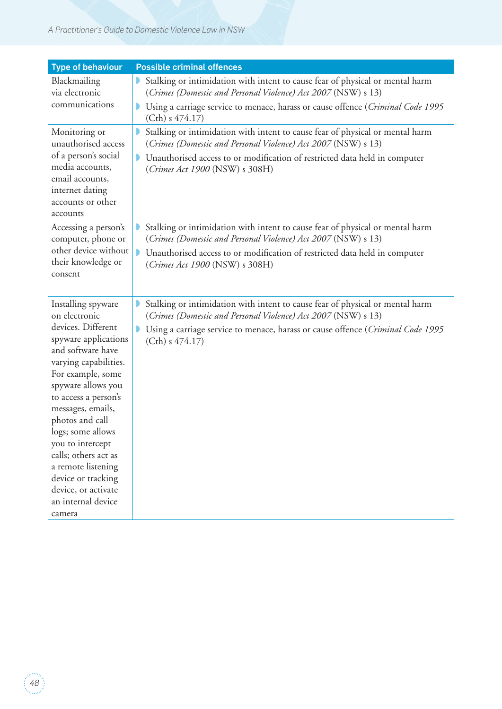#### *A Practitioner's Guide to Domestic Violence Law in NSW*

| <b>Type of behaviour</b>                                                                                                                                                                                                                                                                                         | <b>Possible criminal offences</b>                                                                                                              |
|------------------------------------------------------------------------------------------------------------------------------------------------------------------------------------------------------------------------------------------------------------------------------------------------------------------|------------------------------------------------------------------------------------------------------------------------------------------------|
| Blackmailing<br>via electronic                                                                                                                                                                                                                                                                                   | Stalking or intimidation with intent to cause fear of physical or mental harm<br>(Crimes (Domestic and Personal Violence) Act 2007 (NSW) s 13) |
| communications                                                                                                                                                                                                                                                                                                   | Using a carriage service to menace, harass or cause offence (Criminal Code 1995<br>$(Cth)$ s 474.17)                                           |
| Monitoring or<br>unauthorised access<br>of a person's social<br>media accounts,<br>email accounts,<br>internet dating<br>accounts or other<br>accounts                                                                                                                                                           | Stalking or intimidation with intent to cause fear of physical or mental harm<br>(Crimes (Domestic and Personal Violence) Act 2007 (NSW) s 13) |
|                                                                                                                                                                                                                                                                                                                  | Unauthorised access to or modification of restricted data held in computer<br>(Crimes Act 1900 (NSW) s 308H)                                   |
| Accessing a person's<br>computer, phone or<br>other device without<br>their knowledge or<br>consent                                                                                                                                                                                                              | Stalking or intimidation with intent to cause fear of physical or mental harm<br>(Crimes (Domestic and Personal Violence) Act 2007 (NSW) s 13) |
|                                                                                                                                                                                                                                                                                                                  | • Unauthorised access to or modification of restricted data held in computer<br>(Crimes Act 1900 (NSW) s 308H)                                 |
| Installing spyware<br>on electronic                                                                                                                                                                                                                                                                              | Stalking or intimidation with intent to cause fear of physical or mental harm<br>(Crimes (Domestic and Personal Violence) Act 2007 (NSW) s 13) |
| devices. Different<br>spyware applications<br>and software have<br>varying capabilities.<br>For example, some<br>spyware allows you<br>to access a person's<br>messages, emails,<br>photos and call<br>logs; some allows<br>you to intercept<br>calls; others act as<br>a remote listening<br>device or tracking | Using a carriage service to menace, harass or cause offence (Criminal Code 1995<br>(Cth) s 474.17                                              |
| device, or activate<br>an internal device<br>camera                                                                                                                                                                                                                                                              |                                                                                                                                                |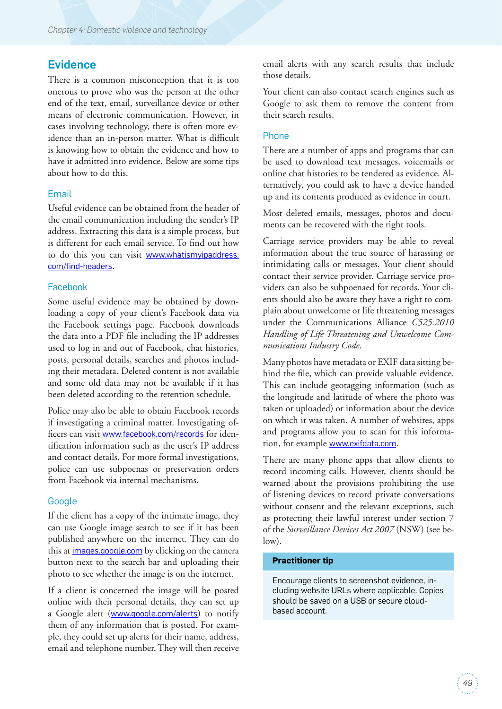## **Evidence**

There is a common misconception that it is too onerous to prove who was the person at the other end of the text, email, surveillance device or other means of electronic communication. However, in cases involving technology, there is often more evidence than an in-person matter. What is difficult is knowing how to obtain the evidence and how to have it admitted into evidence. Below are some tips about how to do this.

#### Email

Useful evidence can be obtained from the header of the email communication including the sender's IP address. Extracting this data is a simple process, but is different for each email service. To find out how to do this you can visit [www.whatismyipaddress.](http://www.whatismyipaddress.com/find-headers) [com/find-headers](http://www.whatismyipaddress.com/find-headers).

#### Facebook

Some useful evidence may be obtained by downloading a copy of your client's Facebook data via the Facebook settings page. Facebook downloads the data into a PDF file including the IP addresses used to log in and out of Facebook, chat histories, posts, personal details, searches and photos including their metadata. Deleted content is not available and some old data may not be available if it has been deleted according to the retention schedule.

Police may also be able to obtain Facebook records if investigating a criminal matter. Investigating officers can visit [www.facebook.com/records](http://www.facebook.com/records) for identification information such as the user's IP address and contact details. For more formal investigations, police can use subpoenas or preservation orders from Facebook via internal mechanisms.

#### **Google**

If the client has a copy of the intimate image, they can use Google image search to see if it has been published anywhere on the internet. They can do this at *images.google.com* by clicking on the camera button next to the search bar and uploading their photo to see whether the image is on the internet.

If a client is concerned the image will be posted online with their personal details, they can set up a Google alert ([www.google.com/alerts](http://www.google.com/alerts)) to notify them of any information that is posted. For example, they could set up alerts for their name, address, email and telephone number. They will then receive email alerts with any search results that include those details.

Your client can also contact search engines such as Google to ask them to remove the content from their search results.

#### Phone

There are a number of apps and programs that can be used to download text messages, voicemails or online chat histories to be tendered as evidence. Alternatively, you could ask to have a device handed up and its contents produced as evidence in court.

Most deleted emails, messages, photos and documents can be recovered with the right tools.

Carriage service providers may be able to reveal information about the true source of harassing or intimidating calls or messages. Your client should contact their service provider. Carriage service providers can also be subpoenaed for records. Your clients should also be aware they have a right to complain about unwelcome or life threatening messages under the Communications Alliance *C525:2010 Handling of Life Threatening and Unwelcome Communications Industry Code*.

Many photos have metadata or EXIF data sitting behind the file, which can provide valuable evidence. This can include geotagging information (such as the longitude and latitude of where the photo was taken or uploaded) or information about the device on which it was taken. A number of websites, apps and programs allow you to scan for this information, for example [www.exifdata.com](http://www.exifdata.com).

There are many phone apps that allow clients to record incoming calls. However, clients should be warned about the provisions prohibiting the use of listening devices to record private conversations without consent and the relevant exceptions, such as protecting their lawful interest under section 7 of the *Surveillance Devices Act 2007* (NSW) (see below).

#### **Practitioner tip**

Encourage clients to screenshot evidence, including website URLs where applicable. Copies should be saved on a USB or secure cloudbased account.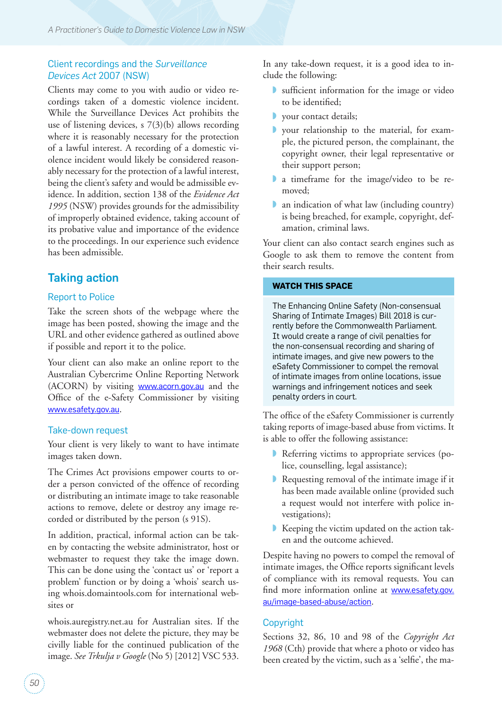## Client recordings and the *Surveillance Devices Act* 2007 (NSW)

Clients may come to you with audio or video recordings taken of a domestic violence incident. While the Surveillance Devices Act prohibits the use of listening devices, s 7(3)(b) allows recording where it is reasonably necessary for the protection of a lawful interest. A recording of a domestic violence incident would likely be considered reasonably necessary for the protection of a lawful interest, being the client's safety and would be admissible evidence. In addition, section 138 of the *Evidence Act 1995* (NSW) provides grounds for the admissibility of improperly obtained evidence, taking account of its probative value and importance of the evidence to the proceedings. In our experience such evidence has been admissible.

# Taking action

#### Report to Police

Take the screen shots of the webpage where the image has been posted, showing the image and the URL and other evidence gathered as outlined above if possible and report it to the police.

Your client can also make an online report to the Australian Cybercrime Online Reporting Network (ACORN) by visiting [www.acorn.gov.au](http://www.acorn.gov.au) and the Office of the e-Safety Commissioner by visiting www.esafety.gov.au.

#### Take-down request

Your client is very likely to want to have intimate images taken down.

The Crimes Act provisions empower courts to order a person convicted of the offence of recording or distributing an intimate image to take reasonable actions to remove, delete or destroy any image recorded or distributed by the person (s 91S).

In addition, practical, informal action can be taken by contacting the website administrator, host or webmaster to request they take the image down. This can be done using the 'contact us' or 'report a problem' function or by doing a 'whois' search using whois.domaintools.com for international websites or

whois.auregistry.net.au for Australian sites. If the webmaster does not delete the picture, they may be civilly liable for the continued publication of the image. *See Trkulja v Google* (No 5) [2012] VSC 533.

In any take-down request, it is a good idea to include the following:

- ◗ sufficient information for the image or video to be identified;
- ◗ your contact details;
- ◗ your relationship to the material, for example, the pictured person, the complainant, the copyright owner, their legal representative or their support person;
- ◗ a timeframe for the image/video to be removed;
- ◗ an indication of what law (including country) is being breached, for example, copyright, defamation, criminal laws.

Your client can also contact search engines such as Google to ask them to remove the content from their search results.

#### **WATCH THIS SPACE**

The Enhancing Online Safety (Non-consensual Sharing of Intimate Images) Bill 2018 is currently before the Commonwealth Parliament. It would create a range of civil penalties for the non-consensual recording and sharing of intimate images, and give new powers to the eSafety Commissioner to compel the removal of intimate images from online locations, issue warnings and infringement notices and seek penalty orders in court.

The office of the eSafety Commissioner is currently taking reports of image-based abuse from victims. It is able to offer the following assistance:

- ◗ Referring victims to appropriate services (police, counselling, legal assistance);
- ◗ Requesting removal of the intimate image if it has been made available online (provided such a request would not interfere with police investigations);
- Keeping the victim updated on the action taken and the outcome achieved.

Despite having no powers to compel the removal of intimate images, the Office reports significant levels of compliance with its removal requests. You can find more information online at [www.esafety.gov.](https://www.esafety.gov.au/image-based-abuse/action) [au/image-based-abuse/action](https://www.esafety.gov.au/image-based-abuse/action).

## Copyright

Sections 32, 86, 10 and 98 of the *Copyright Act 1968* (Cth) provide that where a photo or video has been created by the victim, such as a 'selfie', the ma